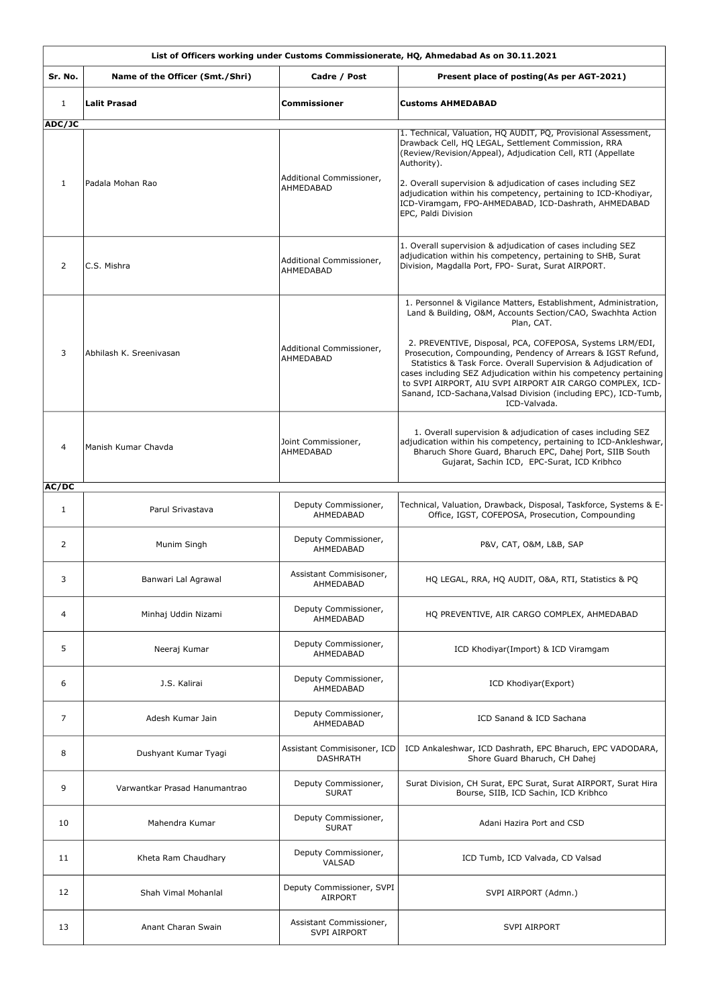|                        | List of Officers working under Customs Commissionerate, HQ, Ahmedabad As on 30.11.2021 |                                                |                                                                                                                                                                                                                                                                                                                                                                                                                                                                                                                                                                  |  |
|------------------------|----------------------------------------------------------------------------------------|------------------------------------------------|------------------------------------------------------------------------------------------------------------------------------------------------------------------------------------------------------------------------------------------------------------------------------------------------------------------------------------------------------------------------------------------------------------------------------------------------------------------------------------------------------------------------------------------------------------------|--|
| Sr. No.                | Name of the Officer (Smt./Shri)                                                        | Cadre / Post                                   | Present place of posting(As per AGT-2021)                                                                                                                                                                                                                                                                                                                                                                                                                                                                                                                        |  |
| $\mathbf{1}$           | <b>Lalit Prasad</b>                                                                    | <b>Commissioner</b>                            | <b>Customs AHMEDABAD</b>                                                                                                                                                                                                                                                                                                                                                                                                                                                                                                                                         |  |
| ADC/JC<br>$\mathbf{1}$ | Padala Mohan Rao                                                                       | Additional Commissioner,<br>AHMEDABAD          | 1. Technical, Valuation, HQ AUDIT, PQ, Provisional Assessment,<br>Drawback Cell, HQ LEGAL, Settlement Commission, RRA<br>(Review/Revision/Appeal), Adjudication Cell, RTI (Appellate<br>Authority).<br>2. Overall supervision & adjudication of cases including SEZ<br>adjudication within his competency, pertaining to ICD-Khodiyar,<br>ICD-Viramgam, FPO-AHMEDABAD, ICD-Dashrath, AHMEDABAD<br>EPC, Paldi Division                                                                                                                                            |  |
| 2                      | C.S. Mishra                                                                            | Additional Commissioner,<br>AHMEDABAD          | 1. Overall supervision & adjudication of cases including SEZ<br>adjudication within his competency, pertaining to SHB, Surat<br>Division, Magdalla Port, FPO- Surat, Surat AIRPORT.                                                                                                                                                                                                                                                                                                                                                                              |  |
| 3                      | Abhilash K. Sreenivasan                                                                | Additional Commissioner,<br>AHMEDABAD          | 1. Personnel & Vigilance Matters, Establishment, Administration,<br>Land & Building, O&M, Accounts Section/CAO, Swachhta Action<br>Plan, CAT.<br>2. PREVENTIVE, Disposal, PCA, COFEPOSA, Systems LRM/EDI,<br>Prosecution, Compounding, Pendency of Arrears & IGST Refund,<br>Statistics & Task Force. Overall Supervision & Adjudication of<br>cases including SEZ Adjudication within his competency pertaining<br>to SVPI AIRPORT, AIU SVPI AIRPORT AIR CARGO COMPLEX, ICD-<br>Sanand, ICD-Sachana, Valsad Division (including EPC), ICD-Tumb,<br>ICD-Valvada. |  |
| 4                      | Manish Kumar Chavda                                                                    | Joint Commissioner,<br>AHMEDABAD               | 1. Overall supervision & adjudication of cases including SEZ<br>adjudication within his competency, pertaining to ICD-Ankleshwar,<br>Bharuch Shore Guard, Bharuch EPC, Dahej Port, SIIB South<br>Gujarat, Sachin ICD, EPC-Surat, ICD Kribhco                                                                                                                                                                                                                                                                                                                     |  |
| AC/DC<br>1             | Parul Srivastava                                                                       | Deputy Commissioner,<br>AHMEDABAD              | Technical, Valuation, Drawback, Disposal, Taskforce, Systems & E-<br>Office, IGST, COFEPOSA, Prosecution, Compounding                                                                                                                                                                                                                                                                                                                                                                                                                                            |  |
| 2                      | Munim Singh                                                                            | Deputy Commissioner,<br>AHMEDABAD              | P&V, CAT, O&M, L&B, SAP                                                                                                                                                                                                                                                                                                                                                                                                                                                                                                                                          |  |
| 3                      | Banwari Lal Agrawal                                                                    | Assistant Commisisoner,<br>AHMEDABAD           | HQ LEGAL, RRA, HQ AUDIT, O&A, RTI, Statistics & PQ                                                                                                                                                                                                                                                                                                                                                                                                                                                                                                               |  |
| 4                      | Minhaj Uddin Nizami                                                                    | Deputy Commissioner,<br>AHMEDABAD              | HQ PREVENTIVE, AIR CARGO COMPLEX, AHMEDABAD                                                                                                                                                                                                                                                                                                                                                                                                                                                                                                                      |  |
| 5                      | Neeraj Kumar                                                                           | Deputy Commissioner,<br>AHMEDABAD              | ICD Khodiyar(Import) & ICD Viramgam                                                                                                                                                                                                                                                                                                                                                                                                                                                                                                                              |  |
| 6                      | J.S. Kalirai                                                                           | Deputy Commissioner,<br>AHMEDABAD              | ICD Khodiyar(Export)                                                                                                                                                                                                                                                                                                                                                                                                                                                                                                                                             |  |
| 7                      | Adesh Kumar Jain                                                                       | Deputy Commissioner,<br>AHMEDABAD              | ICD Sanand & ICD Sachana                                                                                                                                                                                                                                                                                                                                                                                                                                                                                                                                         |  |
| 8                      | Dushyant Kumar Tyagi                                                                   | Assistant Commisisoner, ICD<br><b>DASHRATH</b> | ICD Ankaleshwar, ICD Dashrath, EPC Bharuch, EPC VADODARA,<br>Shore Guard Bharuch, CH Dahej                                                                                                                                                                                                                                                                                                                                                                                                                                                                       |  |
| 9                      | Varwantkar Prasad Hanumantrao                                                          | Deputy Commissioner,<br><b>SURAT</b>           | Surat Division, CH Surat, EPC Surat, Surat AIRPORT, Surat Hira<br>Bourse, SIIB, ICD Sachin, ICD Kribhco                                                                                                                                                                                                                                                                                                                                                                                                                                                          |  |
| 10                     | Mahendra Kumar                                                                         | Deputy Commissioner,<br><b>SURAT</b>           | Adani Hazira Port and CSD                                                                                                                                                                                                                                                                                                                                                                                                                                                                                                                                        |  |
| 11                     | Kheta Ram Chaudhary                                                                    | Deputy Commissioner,<br>VALSAD                 | ICD Tumb, ICD Valvada, CD Valsad                                                                                                                                                                                                                                                                                                                                                                                                                                                                                                                                 |  |
| 12                     | <b>Shah Vimal Mohanlal</b>                                                             | Deputy Commissioner, SVPI<br><b>AIRPORT</b>    | SVPI AIRPORT (Admn.)                                                                                                                                                                                                                                                                                                                                                                                                                                                                                                                                             |  |
| 13                     | Anant Charan Swain                                                                     | Assistant Commissioner,<br><b>SVPI AIRPORT</b> | <b>SVPI AIRPORT</b>                                                                                                                                                                                                                                                                                                                                                                                                                                                                                                                                              |  |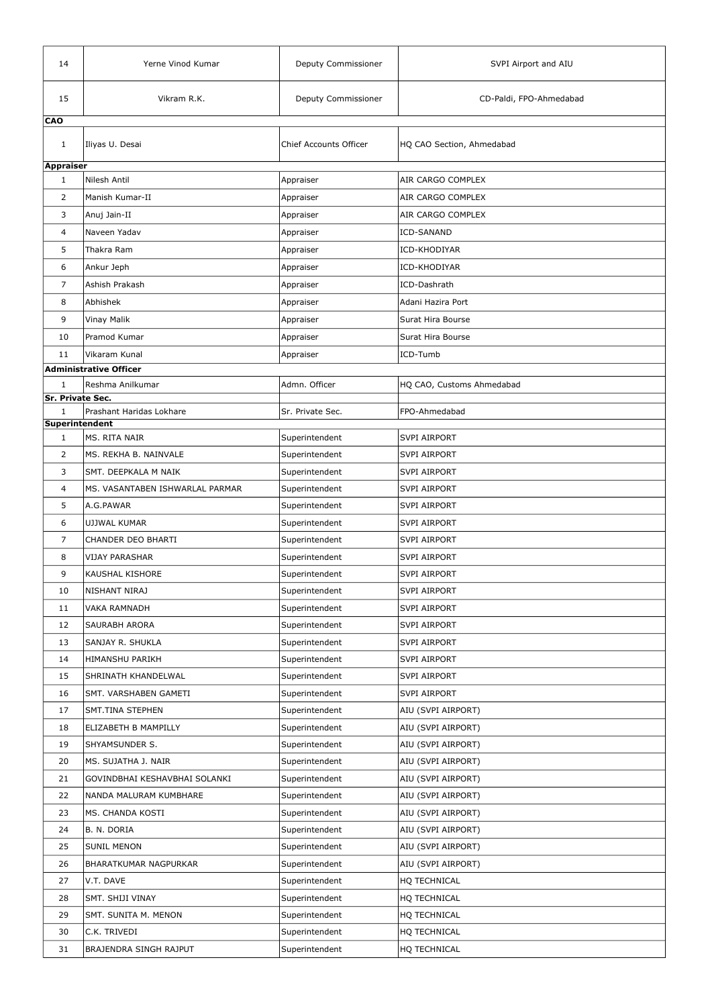| 14                                      | Yerne Vinod Kumar               | Deputy Commissioner           | SVPI Airport and AIU      |
|-----------------------------------------|---------------------------------|-------------------------------|---------------------------|
| 15                                      | Vikram R.K.                     | Deputy Commissioner           | CD-Paldi, FPO-Ahmedabad   |
| <b>CAO</b>                              |                                 |                               |                           |
| 1                                       | Iliyas U. Desai                 | <b>Chief Accounts Officer</b> | HQ CAO Section, Ahmedabad |
| <b>Appraiser</b><br>$\mathbf{1}$        | Nilesh Antil                    | Appraiser                     | AIR CARGO COMPLEX         |
| 2                                       | Manish Kumar-II                 | Appraiser                     | AIR CARGO COMPLEX         |
|                                         |                                 |                               | AIR CARGO COMPLEX         |
| 3                                       | Anuj Jain-II                    | Appraiser                     |                           |
| 4                                       | Naveen Yadav                    | Appraiser                     | <b>ICD-SANAND</b>         |
| 5                                       | Thakra Ram                      | Appraiser                     | ICD-KHODIYAR              |
| 6                                       | Ankur Jeph                      | Appraiser                     | ICD-KHODIYAR              |
| 7                                       | Ashish Prakash                  | Appraiser                     | ICD-Dashrath              |
| 8                                       | Abhishek                        | Appraiser                     | Adani Hazira Port         |
| 9                                       | <b>Vinay Malik</b>              | Appraiser                     | Surat Hira Bourse         |
| 10                                      | Pramod Kumar                    | Appraiser                     | Surat Hira Bourse         |
| 11                                      | Vikaram Kunal                   | Appraiser                     | ICD-Tumb                  |
|                                         | <b>Administrative Officer</b>   |                               |                           |
| $\mathbf{1}$<br><b>Sr. Private Sec.</b> | Reshma Anilkumar                | Admn. Officer                 | HQ CAO, Customs Ahmedabad |
| 1<br>Superintendent                     | Prashant Haridas Lokhare        | Sr. Private Sec.              | FPO-Ahmedabad             |
| $\mathbf{1}$                            | MS. RITA NAIR                   | Superintendent                | <b>SVPI AIRPORT</b>       |
| $\overline{2}$                          | MS. REKHA B. NAINVALE           | Superintendent                | <b>SVPI AIRPORT</b>       |
| 3                                       | SMT. DEEPKALA M NAIK            | Superintendent                | <b>SVPI AIRPORT</b>       |
| 4                                       | MS. VASANTABEN ISHWARLAL PARMAR | Superintendent                | <b>SVPI AIRPORT</b>       |
| 5                                       | A.G.PAWAR                       | Superintendent                | <b>SVPI AIRPORT</b>       |
| 6                                       | UJJWAL KUMAR                    | Superintendent                | <b>SVPI AIRPORT</b>       |
| $\overline{7}$                          | CHANDER DEO BHARTI              | Superintendent                | <b>SVPI AIRPORT</b>       |
| 8                                       | <b>VIJAY PARASHAR</b>           | Superintendent                | <b>SVPI AIRPORT</b>       |
| 9                                       | KAUSHAL KISHORE                 | Superintendent                | <b>SVPI AIRPORT</b>       |
| 10                                      | NISHANT NIRAJ                   | Superintendent                | <b>SVPI AIRPORT</b>       |
| 11                                      | <b>VAKA RAMNADH</b>             | Superintendent                | <b>SVPI AIRPORT</b>       |
| 12                                      | SAURABH ARORA                   | Superintendent                | <b>SVPI AIRPORT</b>       |
| 13                                      | SANJAY R. SHUKLA                | Superintendent                | <b>SVPI AIRPORT</b>       |
| 14                                      | HIMANSHU PARIKH                 | Superintendent                | <b>SVPI AIRPORT</b>       |
| 15                                      | SHRINATH KHANDELWAL             | Superintendent                | <b>SVPI AIRPORT</b>       |
| 16                                      | SMT. VARSHABEN GAMETI           | Superintendent                | <b>SVPI AIRPORT</b>       |
| 17                                      | SMT.TINA STEPHEN                | Superintendent                | AIU (SVPI AIRPORT)        |
| 18                                      | ELIZABETH B MAMPILLY            | Superintendent                | AIU (SVPI AIRPORT)        |
| 19                                      | SHYAMSUNDER S.                  | Superintendent                | AIU (SVPI AIRPORT)        |
| 20                                      | MS. SUJATHA J. NAIR             | Superintendent                | AIU (SVPI AIRPORT)        |
| 21                                      | GOVINDBHAI KESHAVBHAI SOLANKI   | Superintendent                | AIU (SVPI AIRPORT)        |
| 22                                      | NANDA MALURAM KUMBHARE          | Superintendent                | AIU (SVPI AIRPORT)        |
| 23                                      | MS. CHANDA KOSTI                | Superintendent                | AIU (SVPI AIRPORT)        |
| 24                                      | B. N. DORIA                     | Superintendent                | AIU (SVPI AIRPORT)        |
| 25                                      | <b>SUNIL MENON</b>              | Superintendent                | AIU (SVPI AIRPORT)        |
| 26                                      | <b>BHARATKUMAR NAGPURKAR</b>    | Superintendent                | AIU (SVPI AIRPORT)        |
| 27                                      | V.T. DAVE                       | Superintendent                | HQ TECHNICAL              |
| 28                                      | <b>SMT. SHIJI VINAY</b>         | Superintendent                | HQ TECHNICAL              |
| 29                                      | SMT. SUNITA M. MENON            | Superintendent                | HQ TECHNICAL              |
| 30                                      | C.K. TRIVEDI                    | Superintendent                | HQ TECHNICAL              |
| 31                                      | <b>BRAJENDRA SINGH RAJPUT</b>   | Superintendent                | HQ TECHNICAL              |
|                                         |                                 |                               |                           |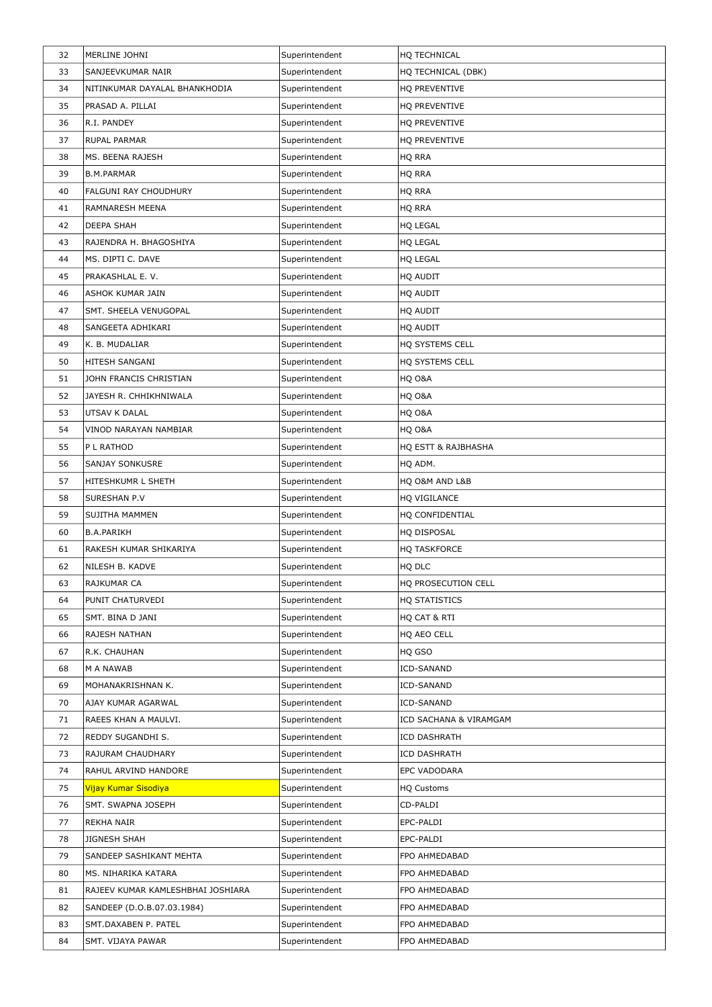| 32 | MERLINE JOHNI                     | Superintendent | HQ TECHNICAL           |
|----|-----------------------------------|----------------|------------------------|
| 33 | SANJEEVKUMAR NAIR                 | Superintendent | HQ TECHNICAL (DBK)     |
| 34 | NITINKUMAR DAYALAL BHANKHODIA     | Superintendent | HQ PREVENTIVE          |
| 35 | PRASAD A. PILLAI                  | Superintendent | HQ PREVENTIVE          |
| 36 | R.I. PANDEY                       | Superintendent | HQ PREVENTIVE          |
| 37 | <b>RUPAL PARMAR</b>               | Superintendent | HQ PREVENTIVE          |
| 38 | MS. BEENA RAJESH                  | Superintendent | HQ RRA                 |
| 39 | B.M.PARMAR                        | Superintendent | HQ RRA                 |
| 40 | <b>FALGUNI RAY CHOUDHURY</b>      | Superintendent | <b>HQ RRA</b>          |
| 41 | <b>RAMNARESH MEENA</b>            | Superintendent | HQ RRA                 |
| 42 | <b>DEEPA SHAH</b>                 | Superintendent | <b>HQ LEGAL</b>        |
| 43 | RAJENDRA H. BHAGOSHIYA            | Superintendent | <b>HQ LEGAL</b>        |
| 44 | MS. DIPTI C. DAVE                 | Superintendent | <b>HQ LEGAL</b>        |
| 45 | PRAKASHLAL E. V.                  | Superintendent | HQ AUDIT               |
| 46 | ASHOK KUMAR JAIN                  | Superintendent | HQ AUDIT               |
| 47 | SMT. SHEELA VENUGOPAL             | Superintendent | HQ AUDIT               |
| 48 | SANGEETA ADHIKARI                 | Superintendent | HQ AUDIT               |
| 49 | K. B. MUDALIAR                    | Superintendent | HQ SYSTEMS CELL        |
| 50 | HITESH SANGANI                    | Superintendent | HQ SYSTEMS CELL        |
| 51 | JOHN FRANCIS CHRISTIAN            | Superintendent | HQ O&A                 |
| 52 | JAYESH R. CHHIKHNIWALA            | Superintendent | HQ O&A                 |
| 53 | UTSAV K DALAL                     | Superintendent | HQ O&A                 |
| 54 | VINOD NARAYAN NAMBIAR             | Superintendent | HQ O&A                 |
| 55 | P L RATHOD                        | Superintendent | HQ ESTT & RAJBHASHA    |
| 56 | <b>SANJAY SONKUSRE</b>            | Superintendent | HQ ADM.                |
| 57 | HITESHKUMR L SHETH                | Superintendent | HQ O&M AND L&B         |
| 58 | SURESHAN P.V                      | Superintendent | HQ VIGILANCE           |
| 59 | SUJITHA MAMMEN                    | Superintendent | HQ CONFIDENTIAL        |
| 60 | <b>B.A.PARIKH</b>                 | Superintendent | HQ DISPOSAL            |
| 61 | RAKESH KUMAR SHIKARIYA            | Superintendent | <b>HQ TASKFORCE</b>    |
| 62 | NILESH B. KADVE                   | Superintendent | HQ DLC                 |
| 63 | <b>RAJKUMAR CA</b>                | Superintendent | HQ PROSECUTION CELL    |
| 64 | PUNIT CHATURVEDI                  | Superintendent | HQ STATISTICS          |
| 65 | SMT. BINA D JANI                  | Superintendent | HQ CAT & RTI           |
| 66 | <b>RAJESH NATHAN</b>              | Superintendent | HQ AEO CELL            |
| 67 | R.K. CHAUHAN                      | Superintendent | HQ GSO                 |
| 68 | M A NAWAB                         | Superintendent | ICD-SANAND             |
| 69 | MOHANAKRISHNAN K.                 | Superintendent | <b>ICD-SANAND</b>      |
| 70 | AJAY KUMAR AGARWAL                | Superintendent | <b>ICD-SANAND</b>      |
| 71 | RAEES KHAN A MAULVI.              | Superintendent | ICD SACHANA & VIRAMGAM |
| 72 | REDDY SUGANDHI S.                 | Superintendent | <b>ICD DASHRATH</b>    |
| 73 | <b>RAJURAM CHAUDHARY</b>          | Superintendent | <b>ICD DASHRATH</b>    |
| 74 | RAHUL ARVIND HANDORE              | Superintendent | <b>EPC VADODARA</b>    |
| 75 | Vijay Kumar Sisodiya              | Superintendent | <b>HQ Customs</b>      |
| 76 | SMT. SWAPNA JOSEPH                | Superintendent | CD-PALDI               |
| 77 | <b>REKHA NAIR</b>                 | Superintendent | EPC-PALDI              |
| 78 | JIGNESH SHAH                      | Superintendent | EPC-PALDI              |
| 79 | SANDEEP SASHIKANT MEHTA           | Superintendent | FPO AHMEDABAD          |
| 80 | MS. NIHARIKA KATARA               | Superintendent | FPO AHMEDABAD          |
| 81 | RAJEEV KUMAR KAMLESHBHAI JOSHIARA | Superintendent | FPO AHMEDABAD          |
| 82 | SANDEEP (D.O.B.07.03.1984)        | Superintendent | FPO AHMEDABAD          |
| 83 | SMT.DAXABEN P. PATEL              | Superintendent | FPO AHMEDABAD          |
| 84 | SMT. VIJAYA PAWAR                 | Superintendent | FPO AHMEDABAD          |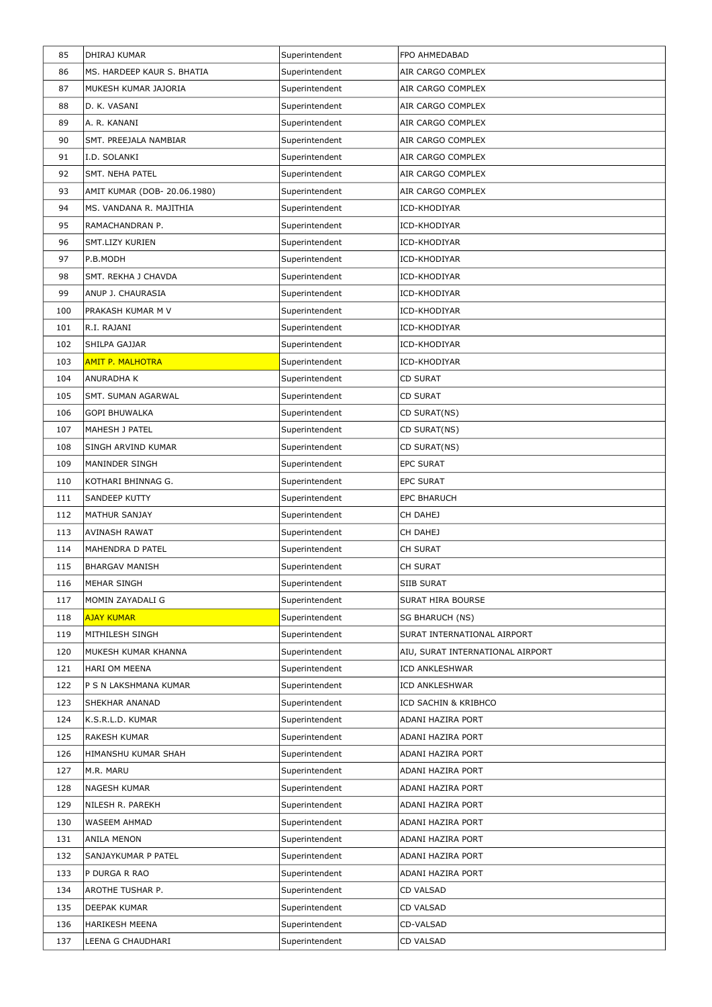| 85  | DHIRAJ KUMAR                 | Superintendent | FPO AHMEDABAD                    |
|-----|------------------------------|----------------|----------------------------------|
| 86  | MS. HARDEEP KAUR S. BHATIA   | Superintendent | AIR CARGO COMPLEX                |
| 87  | MUKESH KUMAR JAJORIA         | Superintendent | AIR CARGO COMPLEX                |
| 88  | D. K. VASANI                 | Superintendent | AIR CARGO COMPLEX                |
| 89  | A. R. KANANI                 | Superintendent | AIR CARGO COMPLEX                |
| 90  | SMT. PREEJALA NAMBIAR        | Superintendent | AIR CARGO COMPLEX                |
| 91  | I.D. SOLANKI                 | Superintendent | AIR CARGO COMPLEX                |
| 92  | <b>SMT. NEHA PATEL</b>       | Superintendent | AIR CARGO COMPLEX                |
| 93  | AMIT KUMAR (DOB- 20.06.1980) | Superintendent | AIR CARGO COMPLEX                |
| 94  | MS. VANDANA R. MAJITHIA      | Superintendent | ICD-KHODIYAR                     |
| 95  | RAMACHANDRAN P.              | Superintendent | ICD-KHODIYAR                     |
| 96  | <b>SMT.LIZY KURIEN</b>       | Superintendent | ICD-KHODIYAR                     |
| 97  | P.B.MODH                     | Superintendent | ICD-KHODIYAR                     |
| 98  | SMT. REKHA J CHAVDA          | Superintendent | ICD-KHODIYAR                     |
| 99  | ANUP J. CHAURASIA            | Superintendent | ICD-KHODIYAR                     |
| 100 | PRAKASH KUMAR M V            | Superintendent | ICD-KHODIYAR                     |
| 101 | R.I. RAJANI                  | Superintendent | ICD-KHODIYAR                     |
| 102 | SHILPA GAJJAR                | Superintendent | ICD-KHODIYAR                     |
| 103 | <b>AMIT P. MALHOTRA</b>      | Superintendent | ICD-KHODIYAR                     |
| 104 | <b>ANURADHA K</b>            | Superintendent | <b>CD SURAT</b>                  |
| 105 | SMT. SUMAN AGARWAL           | Superintendent | <b>CD SURAT</b>                  |
| 106 | <b>GOPI BHUWALKA</b>         | Superintendent | CD SURAT(NS)                     |
| 107 | MAHESH J PATEL               | Superintendent | CD SURAT(NS)                     |
| 108 | <b>SINGH ARVIND KUMAR</b>    | Superintendent | CD SURAT(NS)                     |
| 109 | <b>MANINDER SINGH</b>        | Superintendent | <b>EPC SURAT</b>                 |
| 110 | KOTHARI BHINNAG G.           | Superintendent | <b>EPC SURAT</b>                 |
| 111 | <b>SANDEEP KUTTY</b>         | Superintendent | <b>EPC BHARUCH</b>               |
| 112 | MATHUR SANJAY                | Superintendent | CH DAHEJ                         |
| 113 | <b>AVINASH RAWAT</b>         | Superintendent | CH DAHEJ                         |
| 114 | MAHENDRA D PATEL             | Superintendent | CH SURAT                         |
| 115 | <b>BHARGAV MANISH</b>        | Superintendent | <b>CH SURAT</b>                  |
| 116 | MEHAR SINGH                  | Superintendent | <b>SIIB SURAT</b>                |
| 117 | MOMIN ZAYADALI G             | Superintendent | <b>SURAT HIRA BOURSE</b>         |
| 118 | <b>AJAY KUMAR</b>            | Superintendent | <b>SG BHARUCH (NS)</b>           |
| 119 | MITHILESH SINGH              | Superintendent | SURAT INTERNATIONAL AIRPORT      |
| 120 | MUKESH KUMAR KHANNA          | Superintendent | AIU, SURAT INTERNATIONAL AIRPORT |
| 121 | HARI OM MEENA                | Superintendent | <b>ICD ANKLESHWAR</b>            |
| 122 | P S N LAKSHMANA KUMAR        | Superintendent | <b>ICD ANKLESHWAR</b>            |
| 123 | SHEKHAR ANANAD               | Superintendent | ICD SACHIN & KRIBHCO             |
| 124 | K.S.R.L.D. KUMAR             | Superintendent | <b>ADANI HAZIRA PORT</b>         |
| 125 | <b>RAKESH KUMAR</b>          | Superintendent | <b>ADANI HAZIRA PORT</b>         |
| 126 | HIMANSHU KUMAR SHAH          | Superintendent | ADANI HAZIRA PORT                |
| 127 | M.R. MARU                    | Superintendent | <b>ADANI HAZIRA PORT</b>         |
| 128 | <b>NAGESH KUMAR</b>          | Superintendent | ADANI HAZIRA PORT                |
| 129 | NILESH R. PAREKH             | Superintendent | <b>ADANI HAZIRA PORT</b>         |
| 130 | WASEEM AHMAD                 | Superintendent | <b>ADANI HAZIRA PORT</b>         |
| 131 | <b>ANILA MENON</b>           | Superintendent | <b>ADANI HAZIRA PORT</b>         |
| 132 | SANJAYKUMAR P PATEL          | Superintendent | ADANI HAZIRA PORT                |
| 133 | P DURGA R RAO                | Superintendent | <b>ADANI HAZIRA PORT</b>         |
| 134 | AROTHE TUSHAR P.             | Superintendent | CD VALSAD                        |
| 135 | DEEPAK KUMAR                 | Superintendent | <b>CD VALSAD</b>                 |
| 136 | <b>HARIKESH MEENA</b>        | Superintendent | CD-VALSAD                        |
| 137 | LEENA G CHAUDHARI            | Superintendent | CD VALSAD                        |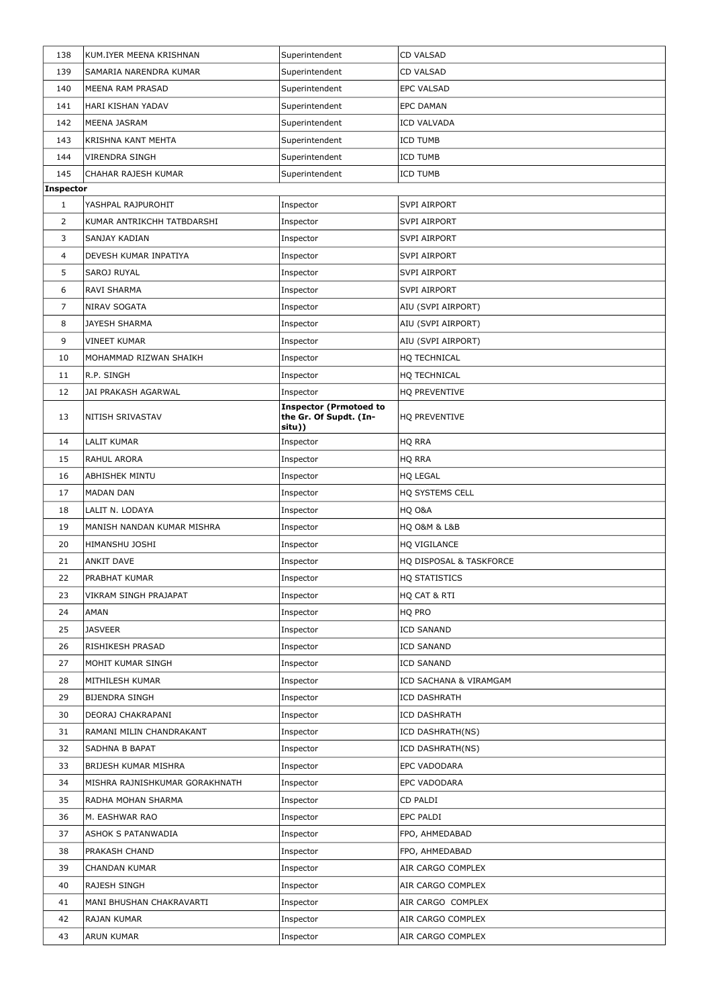| 138              | KUM.IYER MEENA KRISHNAN        | Superintendent                                                    | <b>CD VALSAD</b>        |
|------------------|--------------------------------|-------------------------------------------------------------------|-------------------------|
| 139              | SAMARIA NARENDRA KUMAR         | Superintendent                                                    | <b>CD VALSAD</b>        |
| 140              | MEENA RAM PRASAD               | Superintendent                                                    | <b>EPC VALSAD</b>       |
| 141              | HARI KISHAN YADAV              | Superintendent                                                    | <b>EPC DAMAN</b>        |
| 142              | MEENA JASRAM                   | Superintendent                                                    | <b>ICD VALVADA</b>      |
| 143              | <b>KRISHNA KANT MEHTA</b>      | Superintendent                                                    | <b>ICD TUMB</b>         |
| 144              | <b>VIRENDRA SINGH</b>          | Superintendent                                                    | <b>ICD TUMB</b>         |
| 145              | CHAHAR RAJESH KUMAR            | Superintendent                                                    | <b>ICD TUMB</b>         |
| <b>Inspector</b> |                                |                                                                   |                         |
| 1                | YASHPAL RAJPUROHIT             | Inspector                                                         | <b>SVPI AIRPORT</b>     |
| $\overline{2}$   | KUMAR ANTRIKCHH TATBDARSHI     | Inspector                                                         | <b>SVPI AIRPORT</b>     |
| 3                | SANJAY KADIAN                  | Inspector                                                         | <b>SVPI AIRPORT</b>     |
| 4                | DEVESH KUMAR INPATIYA          | Inspector                                                         | <b>SVPI AIRPORT</b>     |
| 5.               | SAROJ RUYAL                    | Inspector                                                         | <b>SVPI AIRPORT</b>     |
| 6                | RAVI SHARMA                    | Inspector                                                         | <b>SVPI AIRPORT</b>     |
| 7                | NIRAV SOGATA                   | Inspector                                                         | AIU (SVPI AIRPORT)      |
| 8                | <b>JAYESH SHARMA</b>           | Inspector                                                         | AIU (SVPI AIRPORT)      |
| 9                | <b>VINEET KUMAR</b>            | Inspector                                                         | AIU (SVPI AIRPORT)      |
| 10               | MOHAMMAD RIZWAN SHAIKH         | Inspector                                                         | HQ TECHNICAL            |
| 11               | R.P. SINGH                     | Inspector                                                         | HQ TECHNICAL            |
| 12               | JAI PRAKASH AGARWAL            | Inspector                                                         | HQ PREVENTIVE           |
| 13               | NITISH SRIVASTAV               | <b>Inspector (Prmotoed to</b><br>the Gr. Of Supdt. (In-<br>situ)) | HQ PREVENTIVE           |
| 14               | <b>LALIT KUMAR</b>             | Inspector                                                         | HQ RRA                  |
| 15               | RAHUL ARORA                    | Inspector                                                         | HQ RRA                  |
| 16               | <b>ABHISHEK MINTU</b>          | Inspector                                                         | <b>HQ LEGAL</b>         |
| 17               | <b>MADAN DAN</b>               | Inspector                                                         | HQ SYSTEMS CELL         |
| 18               | LALIT N. LODAYA                | Inspector                                                         | HQ O&A                  |
| 19               | MANISH NANDAN KUMAR MISHRA     | Inspector                                                         | HQ O&M & L&B            |
| 20               | HIMANSHU JOSHI                 | Inspector                                                         | HQ VIGILANCE            |
| 21               | <b>ANKIT DAVE</b>              | Inspector                                                         | HQ DISPOSAL & TASKFORCE |
| 22               | PRABHAT KUMAR                  | Inspector                                                         | HQ STATISTICS           |
| 23               | VIKRAM SINGH PRAJAPAT          | Inspector                                                         | HQ CAT & RTI            |
| 24               | <b>AMAN</b>                    | Inspector                                                         | HQ PRO                  |
| 25               | <b>JASVEER</b>                 | Inspector                                                         | <b>ICD SANAND</b>       |
| 26               | RISHIKESH PRASAD               | Inspector                                                         | <b>ICD SANAND</b>       |
| 27               | MOHIT KUMAR SINGH              | Inspector                                                         | <b>ICD SANAND</b>       |
| 28               | MITHILESH KUMAR                | Inspector                                                         | ICD SACHANA & VIRAMGAM  |
| 29               | <b>BIJENDRA SINGH</b>          | Inspector                                                         | <b>ICD DASHRATH</b>     |
| 30               | DEORAJ CHAKRAPANI              | Inspector                                                         | <b>ICD DASHRATH</b>     |
| 31               | RAMANI MILIN CHANDRAKANT       | Inspector                                                         | ICD DASHRATH(NS)        |
| 32               | <b>SADHNA B BAPAT</b>          | Inspector                                                         | ICD DASHRATH(NS)        |
| 33               | <b>BRIJESH KUMAR MISHRA</b>    | Inspector                                                         | EPC VADODARA            |
| 34               | MISHRA RAJNISHKUMAR GORAKHNATH | Inspector                                                         | EPC VADODARA            |
| 35               | RADHA MOHAN SHARMA             | Inspector                                                         | CD PALDI                |
| 36               | M. EASHWAR RAO                 | Inspector                                                         | <b>EPC PALDI</b>        |
| 37               | ASHOK S PATANWADIA             | Inspector                                                         | FPO, AHMEDABAD          |
| 38               | PRAKASH CHAND                  | Inspector                                                         | FPO, AHMEDABAD          |
| 39               | <b>CHANDAN KUMAR</b>           | Inspector                                                         | AIR CARGO COMPLEX       |
| 40               | RAJESH SINGH                   | Inspector                                                         | AIR CARGO COMPLEX       |
| 41               | MANI BHUSHAN CHAKRAVARTI       | Inspector                                                         | AIR CARGO COMPLEX       |
| 42               | <b>RAJAN KUMAR</b>             | Inspector                                                         | AIR CARGO COMPLEX       |
| 43               | <b>ARUN KUMAR</b>              | Inspector                                                         | AIR CARGO COMPLEX       |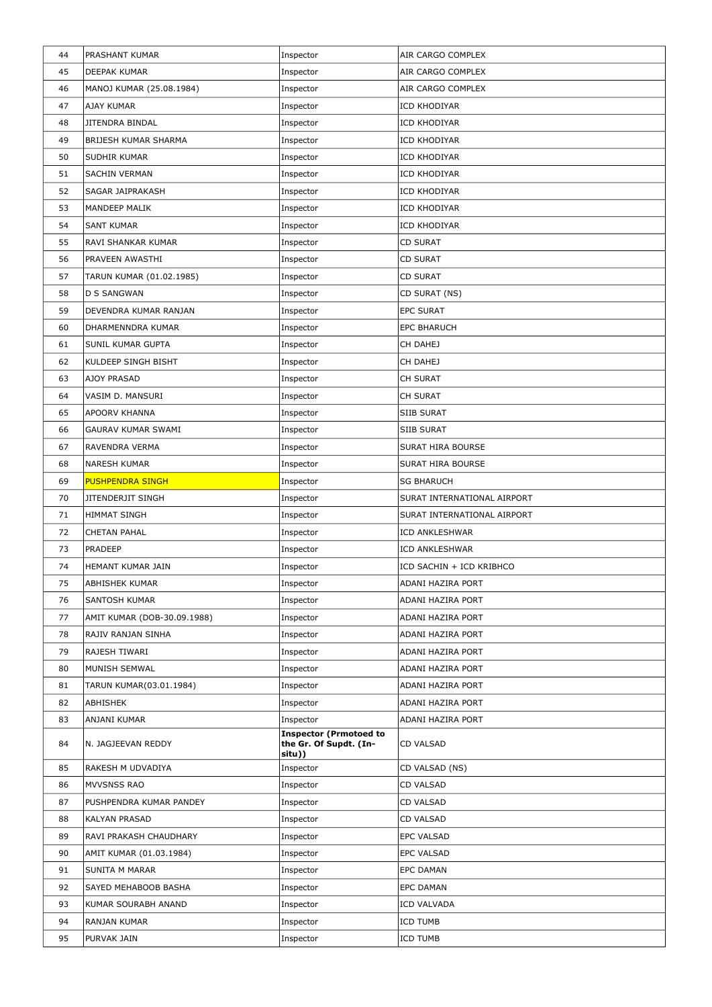| 44 | PRASHANT KUMAR              | Inspector                                               | AIR CARGO COMPLEX           |
|----|-----------------------------|---------------------------------------------------------|-----------------------------|
| 45 | <b>DEEPAK KUMAR</b>         | Inspector                                               | AIR CARGO COMPLEX           |
| 46 | MANOJ KUMAR (25.08.1984)    | Inspector                                               | AIR CARGO COMPLEX           |
| 47 | AJAY KUMAR                  | Inspector                                               | ICD KHODIYAR                |
| 48 | <b>JITENDRA BINDAL</b>      | Inspector                                               | ICD KHODIYAR                |
| 49 | BRIJESH KUMAR SHARMA        | Inspector                                               | ICD KHODIYAR                |
| 50 | SUDHIR KUMAR                | Inspector                                               | ICD KHODIYAR                |
| 51 | <b>SACHIN VERMAN</b>        | Inspector                                               | ICD KHODIYAR                |
| 52 | SAGAR JAIPRAKASH            | Inspector                                               | ICD KHODIYAR                |
| 53 | MANDEEP MALIK               | Inspector                                               | ICD KHODIYAR                |
| 54 | <b>SANT KUMAR</b>           | Inspector                                               | ICD KHODIYAR                |
| 55 | RAVI SHANKAR KUMAR          | Inspector                                               | <b>CD SURAT</b>             |
| 56 | PRAVEEN AWASTHI             | Inspector                                               | <b>CD SURAT</b>             |
| 57 | TARUN KUMAR (01.02.1985)    | Inspector                                               | <b>CD SURAT</b>             |
| 58 | <b>D S SANGWAN</b>          | Inspector                                               | CD SURAT (NS)               |
| 59 | DEVENDRA KUMAR RANJAN       | Inspector                                               | <b>EPC SURAT</b>            |
| 60 | DHARMENNDRA KUMAR           | Inspector                                               | <b>EPC BHARUCH</b>          |
| 61 | <b>SUNIL KUMAR GUPTA</b>    | Inspector                                               | CH DAHEJ                    |
| 62 | KULDEEP SINGH BISHT         | Inspector                                               | CH DAHEJ                    |
| 63 | AJOY PRASAD                 | Inspector                                               | CH SURAT                    |
| 64 | VASIM D. MANSURI            | Inspector                                               | <b>CH SURAT</b>             |
| 65 | <b>APOORV KHANNA</b>        | Inspector                                               | <b>SIIB SURAT</b>           |
| 66 | <b>GAURAV KUMAR SWAMI</b>   | Inspector                                               | <b>SIIB SURAT</b>           |
| 67 | RAVENDRA VERMA              | Inspector                                               | <b>SURAT HIRA BOURSE</b>    |
| 68 | <b>NARESH KUMAR</b>         | Inspector                                               | <b>SURAT HIRA BOURSE</b>    |
| 69 | <b>PUSHPENDRA SINGH</b>     | Inspector                                               | <b>SG BHARUCH</b>           |
| 70 | <b>JITENDERJIT SINGH</b>    | Inspector                                               | SURAT INTERNATIONAL AIRPORT |
| 71 | <b>HIMMAT SINGH</b>         | Inspector                                               | SURAT INTERNATIONAL AIRPORT |
| 72 | <b>CHETAN PAHAL</b>         | Inspector                                               | ICD ANKLESHWAR              |
| 73 | <b>PRADEEP</b>              | Inspector                                               | ICD ANKLESHWAR              |
| 74 | HEMANT KUMAR JAIN           | Inspector                                               | ICD SACHIN + ICD KRIBHCO    |
| 75 | ABHISHEK KUMAR              | Inspector                                               | <b>ADANI HAZIRA PORT</b>    |
| 76 | <b>SANTOSH KUMAR</b>        | Inspector                                               | ADANI HAZIRA PORT           |
| 77 | AMIT KUMAR (DOB-30.09.1988) | Inspector                                               | <b>ADANI HAZIRA PORT</b>    |
| 78 | RAJIV RANJAN SINHA          | Inspector                                               | ADANI HAZIRA PORT           |
| 79 | RAJESH TIWARI               | Inspector                                               | ADANI HAZIRA PORT           |
| 80 | MUNISH SEMWAL               | Inspector                                               | ADANI HAZIRA PORT           |
| 81 | TARUN KUMAR(03.01.1984)     | Inspector                                               | <b>ADANI HAZIRA PORT</b>    |
| 82 | <b>ABHISHEK</b>             | Inspector                                               | ADANI HAZIRA PORT           |
| 83 | ANJANI KUMAR                | Inspector                                               | ADANI HAZIRA PORT           |
| 84 | N. JAGJEEVAN REDDY          | <b>Inspector (Prmotoed to</b><br>the Gr. Of Supdt. (In- | <b>CD VALSAD</b>            |
|    |                             | situ))                                                  |                             |
| 85 | RAKESH M UDVADIYA           | Inspector                                               | CD VALSAD (NS)              |
| 86 | MVVSNSS RAO                 | Inspector                                               | <b>CD VALSAD</b>            |
| 87 | PUSHPENDRA KUMAR PANDEY     | Inspector                                               | <b>CD VALSAD</b>            |
| 88 | KALYAN PRASAD               | Inspector                                               | CD VALSAD                   |
| 89 | RAVI PRAKASH CHAUDHARY      | Inspector                                               | <b>EPC VALSAD</b>           |
| 90 |                             | Inspector                                               | EPC VALSAD                  |
|    | AMIT KUMAR (01.03.1984)     |                                                         |                             |
| 91 | <b>SUNITA M MARAR</b>       | Inspector                                               | <b>EPC DAMAN</b>            |
| 92 | SAYED MEHABOOB BASHA        | Inspector                                               | <b>EPC DAMAN</b>            |
| 93 | KUMAR SOURABH ANAND         | Inspector                                               | <b>ICD VALVADA</b>          |
| 94 | RANJAN KUMAR                | Inspector                                               | ICD TUMB                    |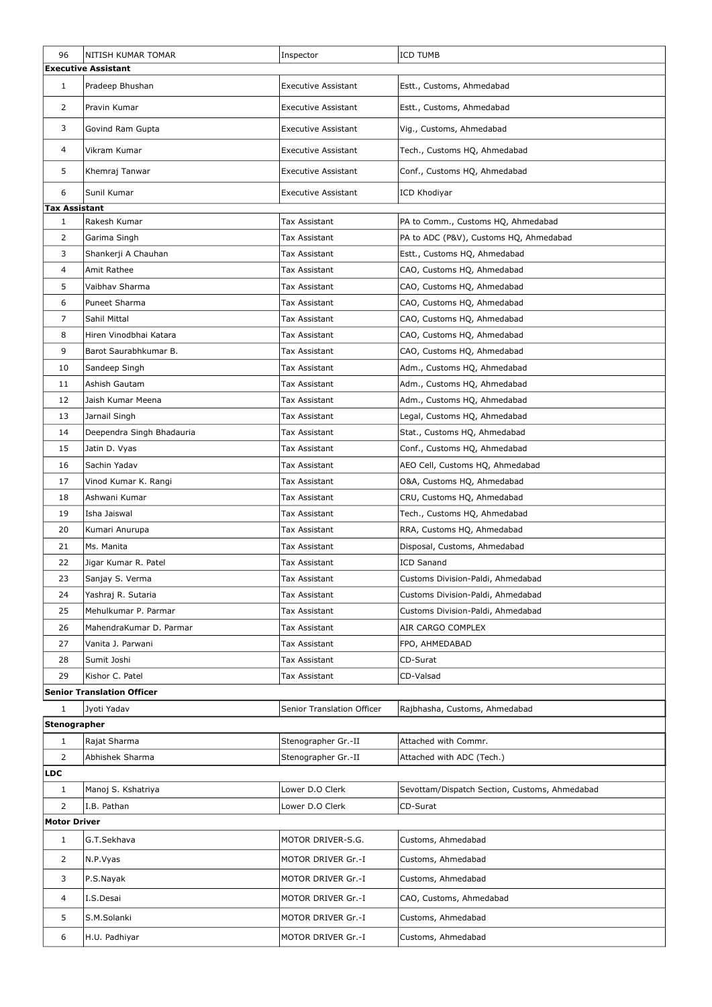| 96                   | NITISH KUMAR TOMAR                | Inspector                  | <b>ICD TUMB</b>                               |  |
|----------------------|-----------------------------------|----------------------------|-----------------------------------------------|--|
|                      | <b>Executive Assistant</b>        |                            |                                               |  |
| $\mathbf{1}$         | Pradeep Bhushan                   | <b>Executive Assistant</b> | Estt., Customs, Ahmedabad                     |  |
| $\overline{2}$       | Pravin Kumar                      | <b>Executive Assistant</b> | Estt., Customs, Ahmedabad                     |  |
| 3                    | Govind Ram Gupta                  | <b>Executive Assistant</b> | Vig., Customs, Ahmedabad                      |  |
| 4                    | Vikram Kumar                      | <b>Executive Assistant</b> | Tech., Customs HQ, Ahmedabad                  |  |
| 5                    | Khemraj Tanwar                    | <b>Executive Assistant</b> | Conf., Customs HQ, Ahmedabad                  |  |
| 6                    | Sunil Kumar                       | <b>Executive Assistant</b> | ICD Khodiyar                                  |  |
| <b>Tax Assistant</b> |                                   |                            |                                               |  |
| $\mathbf{1}$         | Rakesh Kumar                      | Tax Assistant              | PA to Comm., Customs HQ, Ahmedabad            |  |
| 2                    | Garima Singh                      | Tax Assistant              | PA to ADC (P&V), Customs HQ, Ahmedabad        |  |
| 3                    | Shankerji A Chauhan               | Tax Assistant              | Estt., Customs HQ, Ahmedabad                  |  |
| 4                    | Amit Rathee                       | Tax Assistant              | CAO, Customs HQ, Ahmedabad                    |  |
| 5                    | Vaibhav Sharma                    | Tax Assistant              | CAO, Customs HQ, Ahmedabad                    |  |
| 6                    | Puneet Sharma                     | Tax Assistant              | CAO, Customs HQ, Ahmedabad                    |  |
| $\overline{7}$       | Sahil Mittal                      | Tax Assistant              | CAO, Customs HQ, Ahmedabad                    |  |
| 8                    | Hiren Vinodbhai Katara            | Tax Assistant              | CAO, Customs HQ, Ahmedabad                    |  |
| 9                    | Barot Saurabhkumar B.             | Tax Assistant              | CAO, Customs HQ, Ahmedabad                    |  |
| 10                   | Sandeep Singh                     | Tax Assistant              | Adm., Customs HQ, Ahmedabad                   |  |
| 11                   | Ashish Gautam                     | Tax Assistant              | Adm., Customs HQ, Ahmedabad                   |  |
| 12                   | Jaish Kumar Meena                 | Tax Assistant              | Adm., Customs HQ, Ahmedabad                   |  |
| 13                   | Jarnail Singh                     | Tax Assistant              | Legal, Customs HQ, Ahmedabad                  |  |
| 14                   | Deependra Singh Bhadauria         | Tax Assistant              | Stat., Customs HQ, Ahmedabad                  |  |
| 15                   | Jatin D. Vyas                     | Tax Assistant              | Conf., Customs HQ, Ahmedabad                  |  |
| 16                   | Sachin Yadav                      | Tax Assistant              | AEO Cell, Customs HQ, Ahmedabad               |  |
| 17                   | Vinod Kumar K. Rangi              | Tax Assistant              | O&A, Customs HQ, Ahmedabad                    |  |
| 18                   | Ashwani Kumar                     | Tax Assistant              | CRU, Customs HQ, Ahmedabad                    |  |
| 19                   | Isha Jaiswal                      | Tax Assistant              | Tech., Customs HQ, Ahmedabad                  |  |
| 20                   | Kumari Anurupa                    | Tax Assistant              | RRA, Customs HQ, Ahmedabad                    |  |
| 21                   | Ms. Manita                        | Tax Assistant              | Disposal, Customs, Ahmedabad                  |  |
| 22                   | Jigar Kumar R. Patel              | Tax Assistant              | <b>ICD Sanand</b>                             |  |
| 23                   | Sanjay S. Verma                   | Tax Assistant              | Customs Division-Paldi, Ahmedabad             |  |
| 24                   | Yashraj R. Sutaria                | Tax Assistant              | Customs Division-Paldi, Ahmedabad             |  |
| 25                   | Mehulkumar P. Parmar              | Tax Assistant              | Customs Division-Paldi, Ahmedabad             |  |
| 26                   | MahendraKumar D. Parmar           | Tax Assistant              | AIR CARGO COMPLEX                             |  |
| 27                   | Vanita J. Parwani                 | Tax Assistant              | FPO, AHMEDABAD                                |  |
| 28                   | Sumit Joshi                       | Tax Assistant              | CD-Surat                                      |  |
| 29                   | Kishor C. Patel                   | Tax Assistant              | CD-Valsad                                     |  |
|                      | <b>Senior Translation Officer</b> |                            |                                               |  |
| $\mathbf{1}$         | Jyoti Yadav                       | Senior Translation Officer | Rajbhasha, Customs, Ahmedabad                 |  |
| Stenographer         |                                   |                            |                                               |  |
| $\mathbf{1}$         | Rajat Sharma                      | Stenographer Gr.-II        | Attached with Commr.                          |  |
| $\overline{2}$       | Abhishek Sharma                   | Stenographer Gr.-II        | Attached with ADC (Tech.)                     |  |
| LDC                  |                                   |                            |                                               |  |
| $\mathbf{1}$         | Manoj S. Kshatriya                | Lower D.O Clerk            | Sevottam/Dispatch Section, Customs, Ahmedabad |  |
| $\overline{2}$       | I.B. Pathan                       | Lower D.O Clerk            | CD-Surat                                      |  |
| <b>Motor Driver</b>  |                                   |                            |                                               |  |
| $\mathbf{1}$         | G.T.Sekhava                       | MOTOR DRIVER-S.G.          | Customs, Ahmedabad                            |  |
| $\overline{2}$       | N.P.Vyas                          | MOTOR DRIVER Gr.-I         | Customs, Ahmedabad                            |  |
| 3                    | P.S.Nayak                         | MOTOR DRIVER Gr.-I         | Customs, Ahmedabad                            |  |
| $\overline{4}$       | I.S.Desai                         | MOTOR DRIVER Gr.-I         | CAO, Customs, Ahmedabad                       |  |
| 5                    | S.M.Solanki                       | MOTOR DRIVER Gr.-I         | Customs, Ahmedabad                            |  |
| 6                    | H.U. Padhiyar                     | MOTOR DRIVER Gr.-I         | Customs, Ahmedabad                            |  |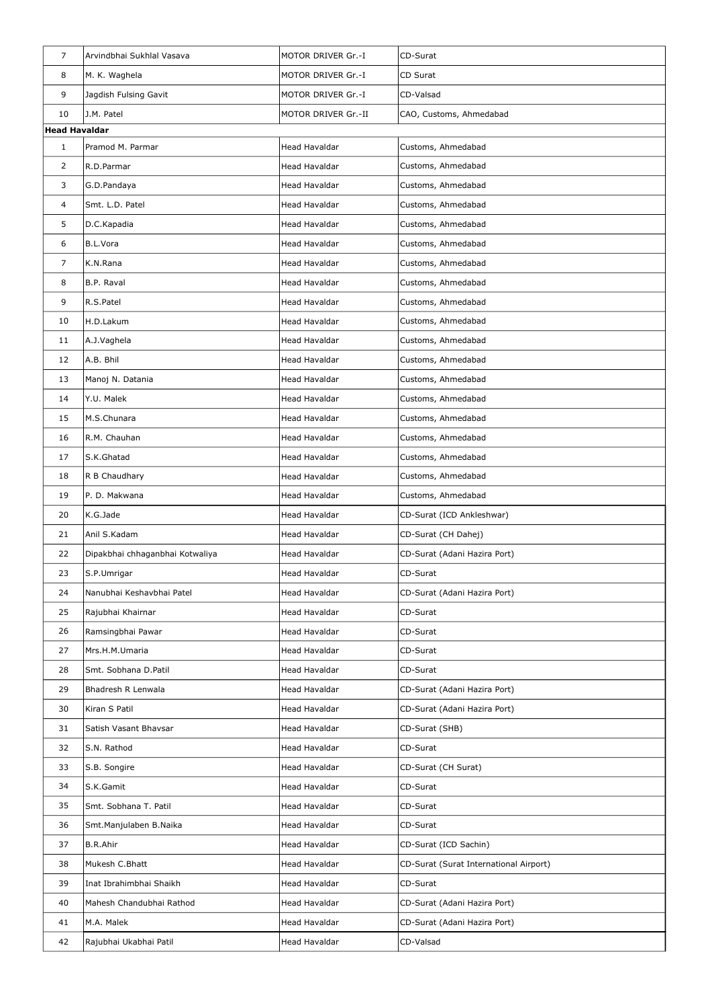| $\overline{7}$       | Arvindbhai Sukhlal Vasava       | MOTOR DRIVER Gr.-I   | CD-Surat                               |
|----------------------|---------------------------------|----------------------|----------------------------------------|
| 8                    | M. K. Waghela                   | MOTOR DRIVER Gr.-I   | CD Surat                               |
| 9                    | Jagdish Fulsing Gavit           | MOTOR DRIVER Gr.-I   | CD-Valsad                              |
| 10                   | J.M. Patel                      | MOTOR DRIVER Gr.-II  | CAO, Customs, Ahmedabad                |
| <b>Head Havaldar</b> |                                 |                      |                                        |
| $\mathbf{1}$         | Pramod M. Parmar                | Head Havaldar        | Customs, Ahmedabad                     |
| $\overline{2}$       | R.D.Parmar                      | <b>Head Havaldar</b> | Customs, Ahmedabad                     |
| 3                    | G.D.Pandaya                     | Head Havaldar        | Customs, Ahmedabad                     |
| 4                    | Smt. L.D. Patel                 | Head Havaldar        | Customs, Ahmedabad                     |
| 5                    | D.C.Kapadia                     | Head Havaldar        | Customs, Ahmedabad                     |
| 6                    | B.L.Vora                        | Head Havaldar        | Customs, Ahmedabad                     |
| 7                    | K.N.Rana                        | Head Havaldar        | Customs, Ahmedabad                     |
| 8                    | <b>B.P. Raval</b>               | <b>Head Havaldar</b> | Customs, Ahmedabad                     |
| 9                    | R.S.Patel                       | Head Havaldar        | Customs, Ahmedabad                     |
| 10                   | H.D.Lakum                       | Head Havaldar        | Customs, Ahmedabad                     |
| 11                   | A.J.Vaghela                     | Head Havaldar        | Customs, Ahmedabad                     |
| 12                   | A.B. Bhil                       | Head Havaldar        | Customs, Ahmedabad                     |
| 13                   | Manoj N. Datania                | Head Havaldar        | Customs, Ahmedabad                     |
| 14                   | Y.U. Malek                      | Head Havaldar        | Customs, Ahmedabad                     |
| 15                   | M.S.Chunara                     | Head Havaldar        | Customs, Ahmedabad                     |
| 16                   | R.M. Chauhan                    | <b>Head Havaldar</b> | Customs, Ahmedabad                     |
| 17                   | S.K.Ghatad                      | Head Havaldar        | Customs, Ahmedabad                     |
| 18                   | R B Chaudhary                   | Head Havaldar        | Customs, Ahmedabad                     |
| 19                   | P. D. Makwana                   | Head Havaldar        | Customs, Ahmedabad                     |
| 20                   | K.G.Jade                        | Head Havaldar        | CD-Surat (ICD Ankleshwar)              |
| 21                   | Anil S.Kadam                    | Head Havaldar        | CD-Surat (CH Dahej)                    |
| 22                   | Dipakbhai chhaganbhai Kotwaliya | Head Havaldar        | CD-Surat (Adani Hazira Port)           |
| 23                   | S.P.Umrigar                     | Head Havaldar        | CD-Surat                               |
| 24                   | Nanubhai Keshavbhai Patel       | <b>Head Havaldar</b> | CD-Surat (Adani Hazira Port)           |
| 25                   | Rajubhai Khairnar               | Head Havaldar        | CD-Surat                               |
| 26                   | Ramsingbhai Pawar               | Head Havaldar        | CD-Surat                               |
| 27                   | Mrs.H.M.Umaria                  | Head Havaldar        | CD-Surat                               |
| 28                   | Smt. Sobhana D.Patil            | Head Havaldar        | CD-Surat                               |
| 29                   | Bhadresh R Lenwala              | Head Havaldar        | CD-Surat (Adani Hazira Port)           |
| 30                   | Kiran S Patil                   | <b>Head Havaldar</b> | CD-Surat (Adani Hazira Port)           |
| 31                   | Satish Vasant Bhavsar           | Head Havaldar        | CD-Surat (SHB)                         |
| 32                   | S.N. Rathod                     | Head Havaldar        | CD-Surat                               |
| 33                   | S.B. Songire                    | Head Havaldar        | CD-Surat (CH Surat)                    |
| 34                   | S.K.Gamit                       | Head Havaldar        | CD-Surat                               |
| 35                   | Smt. Sobhana T. Patil           | Head Havaldar        | CD-Surat                               |
| 36                   | Smt.Manjulaben B.Naika          | Head Havaldar        | CD-Surat                               |
| 37                   | <b>B.R.Ahir</b>                 | Head Havaldar        | CD-Surat (ICD Sachin)                  |
| 38                   | Mukesh C.Bhatt                  | Head Havaldar        | CD-Surat (Surat International Airport) |
| 39                   | Inat Ibrahimbhai Shaikh         | Head Havaldar        | CD-Surat                               |
| 40                   | Mahesh Chandubhai Rathod        | Head Havaldar        | CD-Surat (Adani Hazira Port)           |
| 41                   | M.A. Malek                      | Head Havaldar        | CD-Surat (Adani Hazira Port)           |
| 42                   | Rajubhai Ukabhai Patil          | Head Havaldar        | CD-Valsad                              |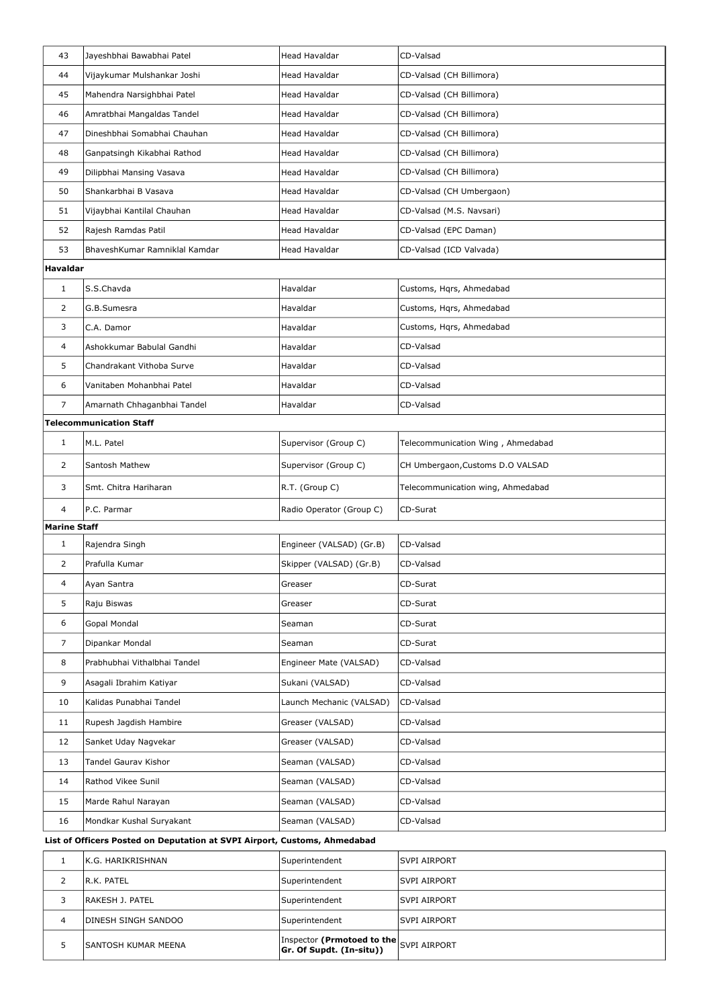| 43                  | Jayeshbhai Bawabhai Patel      | Head Havaldar            | CD-Valsad                         |
|---------------------|--------------------------------|--------------------------|-----------------------------------|
| 44                  | Vijaykumar Mulshankar Joshi    | Head Havaldar            | CD-Valsad (CH Billimora)          |
| 45                  | Mahendra Narsighbhai Patel     | <b>Head Havaldar</b>     | CD-Valsad (CH Billimora)          |
| 46                  | Amratbhai Mangaldas Tandel     | Head Havaldar            | CD-Valsad (CH Billimora)          |
| 47                  | Dineshbhai Somabhai Chauhan    | <b>Head Havaldar</b>     | CD-Valsad (CH Billimora)          |
| 48                  | Ganpatsingh Kikabhai Rathod    | Head Havaldar            | CD-Valsad (CH Billimora)          |
| 49                  | Dilipbhai Mansing Vasava       | <b>Head Havaldar</b>     | CD-Valsad (CH Billimora)          |
| 50                  | Shankarbhai B Vasava           | <b>Head Havaldar</b>     | CD-Valsad (CH Umbergaon)          |
| 51                  | Vijaybhai Kantilal Chauhan     | <b>Head Havaldar</b>     | CD-Valsad (M.S. Navsari)          |
| 52                  | Rajesh Ramdas Patil            | Head Havaldar            | CD-Valsad (EPC Daman)             |
| 53                  | BhaveshKumar Ramniklal Kamdar  | Head Havaldar            | CD-Valsad (ICD Valvada)           |
| <b>Havaldar</b>     |                                |                          |                                   |
| $\mathbf{1}$        | S.S.Chavda                     | Havaldar                 | Customs, Hqrs, Ahmedabad          |
| 2                   | G.B.Sumesra                    | Havaldar                 | Customs, Hqrs, Ahmedabad          |
| 3                   | C.A. Damor                     | Havaldar                 | Customs, Hqrs, Ahmedabad          |
| 4                   | Ashokkumar Babulal Gandhi      | Havaldar                 | CD-Valsad                         |
| 5                   | Chandrakant Vithoba Surve      | Havaldar                 | CD-Valsad                         |
| 6                   | Vanitaben Mohanbhai Patel      | Havaldar                 | CD-Valsad                         |
| 7                   | Amarnath Chhaganbhai Tandel    | Havaldar                 | CD-Valsad                         |
|                     | <b>Telecommunication Staff</b> |                          |                                   |
| $\mathbf{1}$        | M.L. Patel                     | Supervisor (Group C)     | Telecommunication Wing, Ahmedabad |
| $\overline{2}$      | Santosh Mathew                 | Supervisor (Group C)     | CH Umbergaon, Customs D.O VALSAD  |
| 3                   | Smt. Chitra Hariharan          | R.T. (Group C)           | Telecommunication wing, Ahmedabad |
| 4                   | P.C. Parmar                    | Radio Operator (Group C) | CD-Surat                          |
| <b>Marine Staff</b> |                                |                          |                                   |
| $\mathbf{1}$        | Rajendra Singh                 | Engineer (VALSAD) (Gr.B) | CD-Valsad                         |
| $\overline{2}$      | Prafulla Kumar                 | Skipper (VALSAD) (Gr.B)  | CD-Valsad                         |
| 4                   | Ayan Santra                    | Greaser                  | CD-Surat                          |
| 5                   | Raju Biswas                    | Greaser                  | CD-Surat                          |
| 6                   | Gopal Mondal                   | Seaman                   | CD-Surat                          |
| 7                   | Dipankar Mondal                | Seaman                   | CD-Surat                          |
| 8                   | Prabhubhai Vithalbhai Tandel   | Engineer Mate (VALSAD)   | CD-Valsad                         |
| 9                   | Asagali Ibrahim Katiyar        | Sukani (VALSAD)          | CD-Valsad                         |
| 10                  | Kalidas Punabhai Tandel        | Launch Mechanic (VALSAD) | CD-Valsad                         |
| 11                  | Rupesh Jagdish Hambire         | Greaser (VALSAD)         | CD-Valsad                         |
| 12                  | Sanket Uday Nagvekar           | Greaser (VALSAD)         | CD-Valsad                         |
| 13                  | <b>Tandel Gaurav Kishor</b>    | Seaman (VALSAD)          | CD-Valsad                         |
| 14                  | Rathod Vikee Sunil             | Seaman (VALSAD)          | CD-Valsad                         |
| 15                  | Marde Rahul Narayan            | Seaman (VALSAD)          | CD-Valsad                         |
| 16                  | Mondkar Kushal Suryakant       | Seaman (VALSAD)          | CD-Valsad                         |
|                     |                                |                          |                                   |

| IK.G. HARIKRISHNAN          | Superintendent                                                         | ISVPI AIRPORT |
|-----------------------------|------------------------------------------------------------------------|---------------|
| IR.K. PATEL                 | Superintendent                                                         | ISVPI AIRPORT |
| IRAKESH J. PATEL            | Superintendent                                                         | lsvpi airport |
| IDINESH SINGH SANDOO        | Superintendent                                                         | ISVPI AIRPORT |
| <b>ISANTOSH KUMAR MEENA</b> | Inspector (Prmotoed to the SVPI AIRPORT <b>Gr. Of Supdt. (In-situ)</b> |               |

## List of Officers Posted on Deputation at SVPI Airport, Customs, Ahmedabad